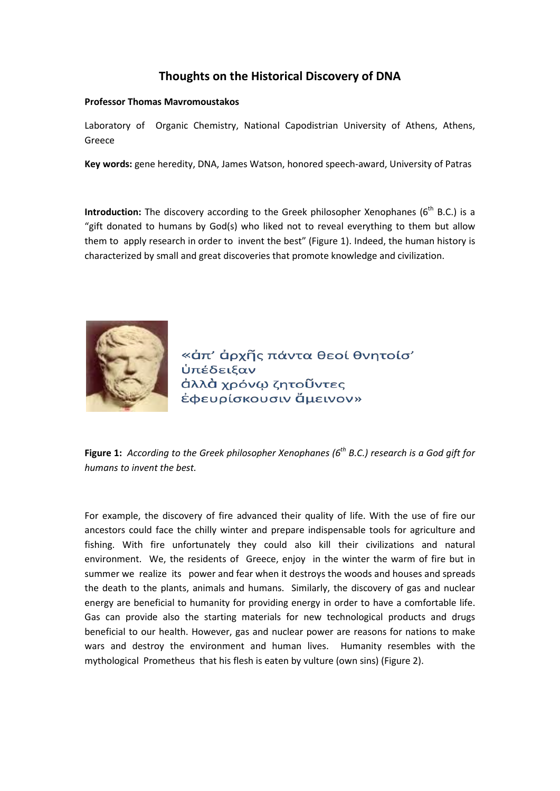## **Thoughts on the Historical Discovery of DNA**

## **Professor Thomas Mavromoustakos**

Laboratory of Organic Chemistry, National Capodistrian University of Athens, Athens, Greece

**Key words:** gene heredity, DNA, James Watson, honored speech-award, University of Patras

**Introduction:** The discovery according to the Greek philosopher Xenophanes (6<sup>th</sup> B.C.) is a "gift donated to humans by God(s) who liked not to reveal everything to them but allow them to apply research in order to invent the best" (Figure 1). Indeed, the human history is characterized by small and great discoveries that promote knowledge and civilization.



«ἀπ' ἀρχῆς πάντα θεοί θνητοίσ' **ὑπέδειξαν** άλλὰ χρόνω ζητοῦντες ἐφευρίσκουσιν ἄμεινον»

**Figure 1:** *According to the Greek philosopher Xenophanes (6<sup>th</sup> B.C.) research is a God gift for humans to invent the best.*

For example, the discovery of fire advanced their quality of life. With the use of fire our ancestors could face the chilly winter and prepare indispensable tools for agriculture and fishing. With fire unfortunately they could also kill their civilizations and natural environment. We, the residents of Greece, enjoy in the winter the warm of fire but in summer we realize its power and fear when it destroys the woods and houses and spreads the death to the plants, animals and humans. Similarly, the discovery of gas and nuclear energy are beneficial to humanity for providing energy in order to have a comfortable life. Gas can provide also the starting materials for new technological products and drugs beneficial to our health. However, gas and nuclear power are reasons for nations to make wars and destroy the environment and human lives. Humanity resembles with the mythological Prometheus that his flesh is eaten by vulture (own sins) (Figure 2).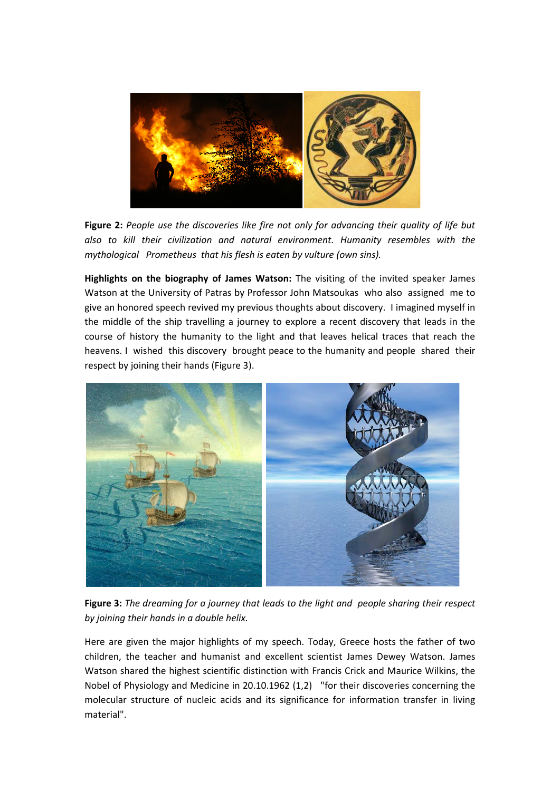

**Figure 2:** *People use the discoveries like fire not only for advancing their quality of life but also to kill their civilization and natural environment. Humanity resembles with the mythological Prometheus that his flesh is eaten by vulture (own sins).* 

**Highlights on the biography of James Watson:** The visiting of the invited speaker James Watson at the University of Patras by Professor John Matsoukas who also assigned me to give an honored speech revived my previous thoughts about discovery. I imagined myself in the middle of the ship travelling a journey to explore a recent discovery that leads in the course of history the humanity to the light and that leaves helical traces that reach the heavens. I wished this discovery brought peace to the humanity and people shared their respect by joining their hands (Figure 3).



**Figure 3:** *The dreaming for a journey that leads to the light and people sharing their respect by joining their hands in a double helix.*

Here are given the major highlights of my speech. Today, Greece hosts the father of two children, the teacher and humanist and excellent scientist James Dewey Watson. James Watson shared the highest scientific distinction with Francis Crick and Maurice Wilkins, the Nobel of Physiology and Medicine in 20.10.1962 (1,2) "for their discoveries concerning the molecular structure of [nucleic acids](http://en.wikipedia.org/wiki/Nucleic_acid) and its significance for information transfer in living material".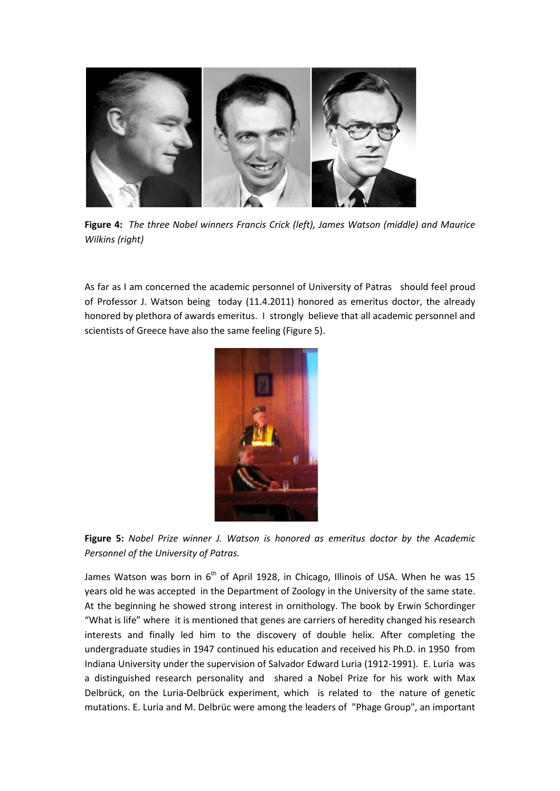

**Figure 4:** *The three Nobel winners Francis Crick (left), James Watson (middle) and Maurice Wilkins (right)*

As far as I am concerned the academic personnel of University of Patras should feel proud of Professor J. Watson being today (11.4.2011) honored as emeritus doctor, the already honored by plethora of awards emeritus. I strongly believe that all academic personnel and scientists of Greece have also the same feeling (Figure 5).



**Figure 5:** *Nobel Prize winner J. Watson is honored as emeritus doctor by the Academic Personnel of the University of Patras.*

James Watson was born in  $6<sup>th</sup>$  of April 1928, in [Chicago, Illinois](http://en.wikipedia.org/wiki/Chicago,_Illinois) of USA. When he was 15 years old he was accepted in the Department of Zoology in the University of the same state. At the beginning he showed strong interest in ornithology. The book by Erwin Schordinger "What is life" where it is mentioned that genes are carriers of heredity changed his research interests and finally led him to the discovery of double helix. After completing the undergraduate studies in 1947 continued his education and received his Ph.D. in 1950 from Indiana University under the supervision of Salvador Edward Luria (1912-1991). E. Luria was a distinguished research personality and shared a Nobel Prize for his work with [Max](http://en.wikipedia.org/wiki/Max_Delbr%C3%BCck)  [Delbrück,](http://en.wikipedia.org/wiki/Max_Delbr%C3%BCck) on the [Luria-Delbrück experiment,](http://en.wikipedia.org/wiki/Luria-Delbr%C3%BCck_experiment) which is related to the nature of genetic [mutations.](http://en.wikipedia.org/wiki/Mutation) E. Luria and M. [Delbrüc were](http://en.wikipedia.org/wiki/Max_Delbr%C3%BCck) among the leaders of ["Phage Group"](http://en.wikipedia.org/wiki/Phage_Group), an important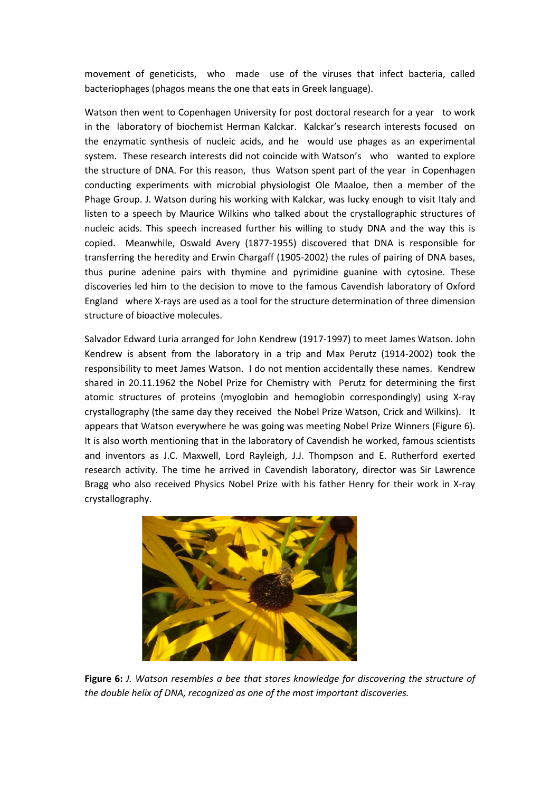movement of geneticists, who made use of the [viruses](http://en.wikipedia.org/wiki/Virus) that infect [bacteria,](http://en.wikipedia.org/wiki/Bacteria) called [bacteriophages](http://en.wikipedia.org/wiki/Bacteriophages) (phagos means the one that eats in Greek language).

Watson then went to [Copenhagen University](http://en.wikipedia.org/wiki/Copenhagen_University) for post doctoral research for a year to work in the laboratory of biochemist [Herman Kalckar.](http://en.wikipedia.org/wiki/Herman_Kalckar) Kalckar's research interests focused on the enzymatic synthesis of nucleic acids, and he would use phages as an experimental system. These research interests did not coincide with Watson's who wanted to explore the structure of DNA. For this reason, thus Watson spent part of the year in Copenhagen conducting experiments with microbial physiologist Ole Maaloe, then a member of the Phage Group. J. Watson during his working with Kalckar, was lucky enough to visit Italy and listen to a speech by Maurice Wilkins who talked about the crystallographic structures of nucleic acids. This speech increased further his willing to study DNA and the way this is copied. Meanwhile, Oswald Avery (1877-1955) discovered that DNA is responsible for transferring the heredity and Erwin Chargaff (1905-2002) the rules of pairing of DNA bases, thus purine adenine pairs with thymine and pyrimidine guanine with cytosine. These discoveries led him to the decision to move to the famous Cavendish laboratory of Oxford England where X-rays are used as a tool for the structure determination of three dimension structure of bioactive molecules.

Salvador Edward Luria arranged for John Kendrew (1917-1997) to meet James Watson. John Kendrew is absent from the laboratory in a trip and Max Perutz (1914-2002) took the responsibility to meet James Watson. I do not mention accidentally these names. Kendrew shared in 20.11.1962 the [Nobel Prize](https://en.wikipedia.org/wiki/Nobel_Prize) for [Chemistry](https://en.wikipedia.org/wiki/Chemistry) with [Perutz](https://en.wikipedia.org/wiki/Max_Perutz) for determining the first atomic structures of [proteins](https://en.wikipedia.org/wiki/Protein) (myoglobin and hemoglobin correspondingly) using [X-ray](https://en.wikipedia.org/wiki/X-ray_crystallography)  [crystallography](https://en.wikipedia.org/wiki/X-ray_crystallography) (the same day they received the Nobel Prize Watson, Crick and Wilkins). It appears that Watson everywhere he was going was meeting Nobel Prize Winners (Figure 6). It is also worth mentioning that in the laboratory of Cavendish he worked, famous scientists and inventors as J.C. Maxwell, Lord Rayleigh, J.J. Thompson and E. Rutherford exerted research activity. The time he arrived in Cavendish laboratory, director was Sir Lawrence Bragg who also received Physics Nobel Prize with his father Henry for their work in X-ray crystallography.



**Figure 6:** *J. Watson resembles a bee that stores knowledge for discovering the structure of the double helix of DNA, recognized as one of the most important discoveries.*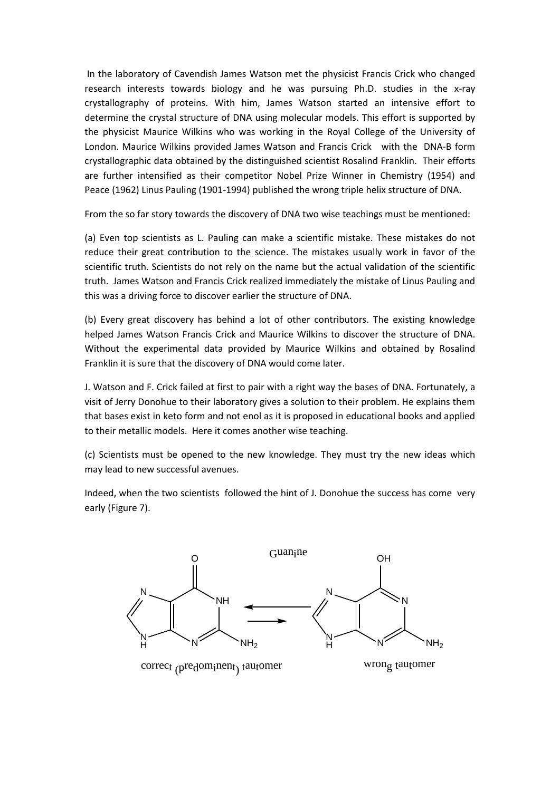In the laboratory of Cavendish James Watson met the physicist Francis Crick who changed research interests towards biology and he was pursuing Ph.D. studies in the x-ray crystallography of proteins. With him, James Watson started an intensive effort to determine the crystal structure of DNA using molecular models. This effort is supported by the physicist Maurice Wilkins who was working in the Royal College of the University of London. Maurice Wilkins provided James Watson and Francis Crick with the DNA-B form crystallographic data obtained by the distinguished scientist Rosalind Franklin. Their efforts are further intensified as their competitor Nobel Prize Winner in Chemistry (1954) and Peace (1962) Linus Pauling (1901-1994) published the wrong triple helix structure of DNA.

From the so far story towards the discovery of DNA two wise teachings must be mentioned:

(a) Even top scientists as L. Pauling can make a scientific mistake. These mistakes do not reduce their great contribution to the science. The mistakes usually work in favor of the scientific truth. Scientists do not rely on the name but the actual validation of the scientific truth. James Watson and Francis Crick realized immediately the mistake of Linus Pauling and this was a driving force to discover earlier the structure of DNA.

(b) Every great discovery has behind a lot of other contributors. The existing knowledge helped James Watson Francis Crick and Maurice Wilkins to discover the structure of DNA. Without the experimental data provided by Maurice Wilkins and obtained by Rosalind Franklin it is sure that the discovery of DNA would come later.

J. Watson and F. Crick failed at first to pair with a right way the bases of DNA. Fortunately, a visit of Jerry Donohue to their laboratory gives a solution to their problem. He explains them that bases exist in keto form and not enol as it is proposed in educational books and applied to their metallic models. Here it comes another wise teaching.

(c) Scientists must be opened to the new knowledge. They must try the new ideas which may lead to new successful avenues.

Indeed, when the two scientists followed the hint of J. Donohue the success has come very early (Figure 7).

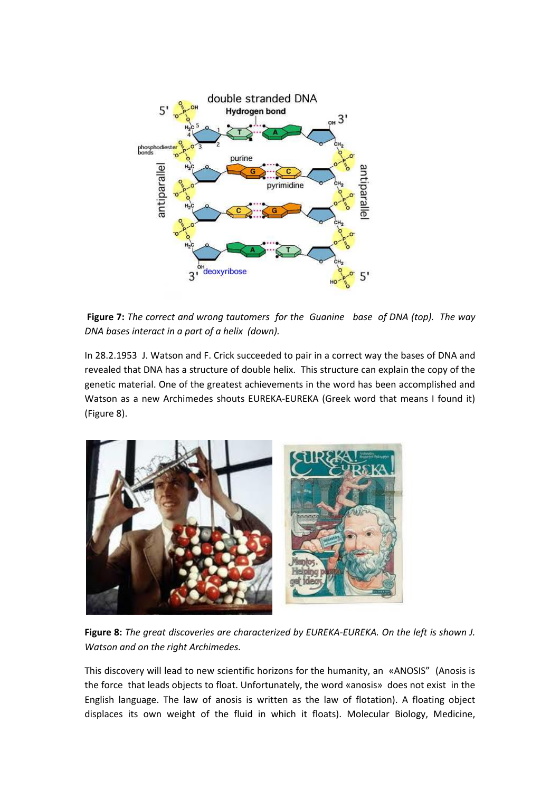

**Figure 7:** *The correct and wrong tautomers for the Guanine base of DNA (top). The way DNA bases interact in a part of a helix (down).* 

In 28.2.1953 J. Watson and F. Crick succeeded to pair in a correct way the bases of DNA and revealed that DNA has a structure of double helix. This structure can explain the copy of the genetic material. One of the greatest achievements in the word has been accomplished and Watson as a new Archimedes shouts EUREKA-EUREKA (Greek word that means I found it) (Figure 8).



**Figure 8:** *The great discoveries are characterized by EUREKA-EUREKA. On the left is shown J. Watson and on the right Archimedes.*

This discovery will lead to new scientific horizons for the humanity, an «ANOSIS" (Anosis is the force that leads objects to float. Unfortunately, the word «anosis» does not exist in the English language. The law of anosis is written as the law of flotation). A floating object displaces its own weight of the fluid in which it floats). Molecular Biology, Medicine,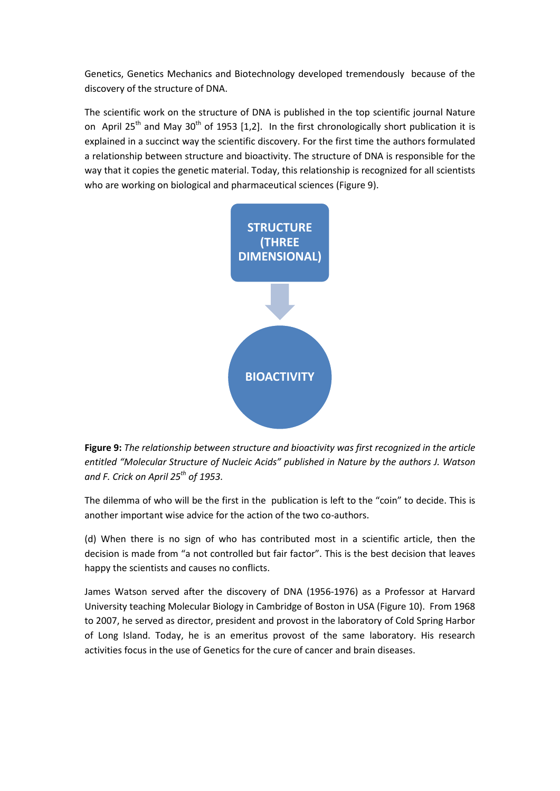Genetics, Genetics Mechanics and Biotechnology developed tremendously because of the discovery of the structure of DNA.

The scientific work on the structure of DNA is published in the top scientific journal Nature on April 25<sup>th</sup> and May 30<sup>th</sup> of 1953 [1,2]. In the first chronologically short publication it is explained in a succinct way the scientific discovery. For the first time the authors formulated a relationship between structure and bioactivity. The structure of DNA is responsible for the way that it copies the genetic material. Today, this relationship is recognized for all scientists who are working on biological and pharmaceutical sciences (Figure 9).



**Figure 9:** *The relationship between structure and bioactivity was first recognized in the article entitled "Molecular Structure of Nucleic Acids" published in Nature by the authors J. Watson and F. Crick on April 25th of 1953.* 

The dilemma of who will be the first in the publication is left to the "coin" to decide. This is another important wise advice for the action of the two co-authors.

(d) When there is no sign of who has contributed most in a scientific article, then the decision is made from "a not controlled but fair factor". This is the best decision that leaves happy the scientists and causes no conflicts.

James Watson served after the discovery of DNA (1956-1976) as a Professor at Harvard University teaching Molecular Biology in Cambridge of Boston in USA (Figure 10). From 1968 to 2007, he served as director, president and provost in the laboratory of Cold Spring Harbor of Long Island. Today, he is an emeritus provost of the same laboratory. His research activities focus in the use of Genetics for the cure of cancer and brain diseases.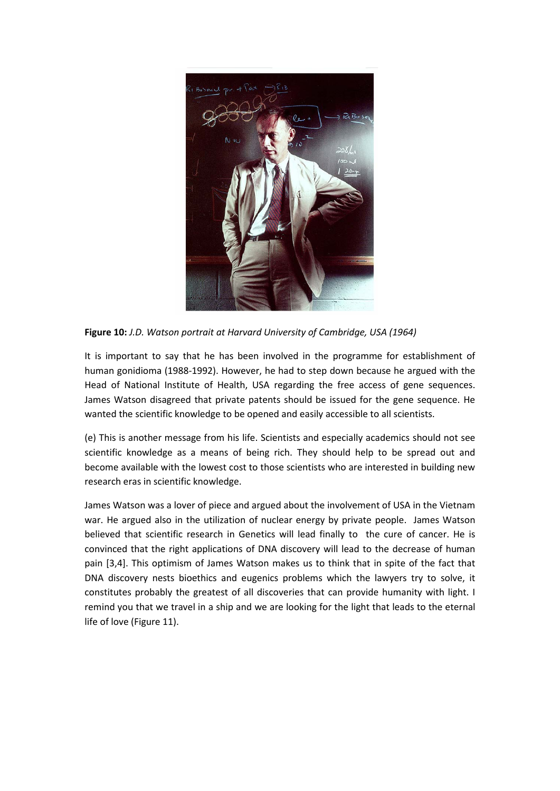

**Figure 10:** *J.D. Watson portrait at Harvard University of Cambridge, USA (1964)*

It is important to say that he has been involved in the programme for establishment of human gonidioma (1988-1992). However, he had to step down because he argued with the Head of National Institute of Health, USA regarding the free access of gene sequences. James Watson disagreed that private patents should be issued for the gene sequence. He wanted the scientific knowledge to be opened and easily accessible to all scientists.

(e) This is another message from his life. Scientists and especially academics should not see scientific knowledge as a means of being rich. They should help to be spread out and become available with the lowest cost to those scientists who are interested in building new research eras in scientific knowledge.

James Watson was a lover of piece and argued about the involvement of USA in the Vietnam war. He argued also in the utilization of nuclear energy by private people. James Watson believed that scientific research in Genetics will lead finally to the cure of cancer. He is convinced that the right applications of DNA discovery will lead to the decrease of human pain [3,4]. This optimism of James Watson makes us to think that in spite of the fact that DNA discovery nests bioethics and eugenics problems which the lawyers try to solve, it constitutes probably the greatest of all discoveries that can provide humanity with light. I remind you that we travel in a ship and we are looking for the light that leads to the eternal life of love (Figure 11).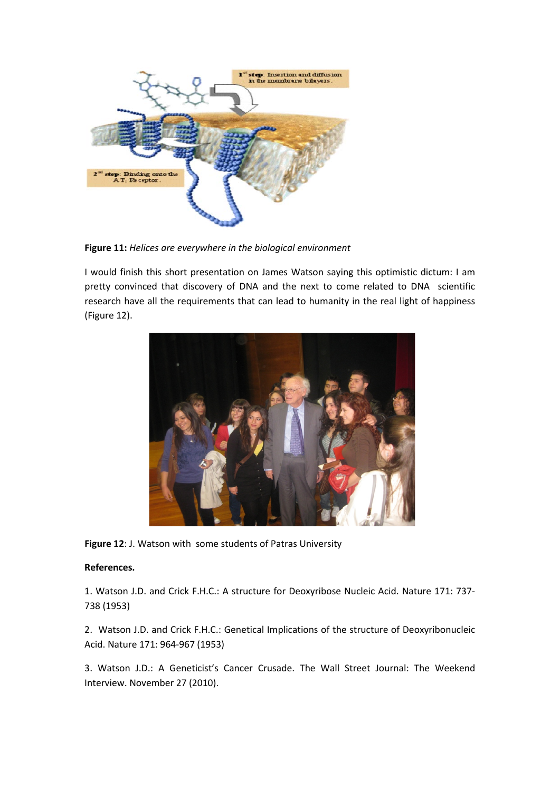

**Figure 11:** *Helices are everywhere in the biological environment*

I would finish this short presentation on James Watson saying this optimistic dictum: I am pretty convinced that discovery of DNA and the next to come related to DNA scientific research have all the requirements that can lead to humanity in the real light of happiness (Figure 12).



**Figure 12**: J. Watson with some students of Patras University

## **References.**

1. Watson J.D. and Crick F.H.C.: A structure for Deoxyribose Nucleic Acid. Nature 171: 737- 738 (1953)

2. Watson J.D. and Crick F.H.C.: Genetical Implications of the structure of Deoxyribonucleic Acid. Nature 171: 964-967 (1953)

3. Watson J.D.: A Geneticist's Cancer Crusade. The Wall Street Journal: The Weekend Interview. November 27 (2010).